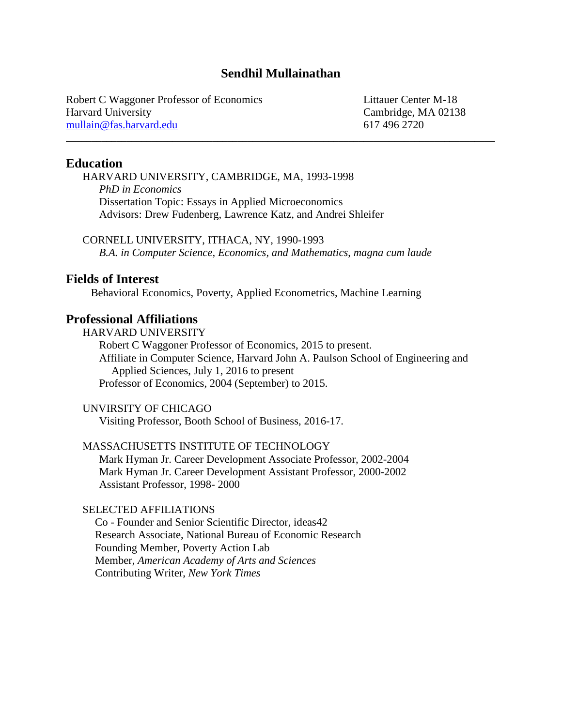### **Sendhil Mullainathan**

**\_\_\_\_\_\_\_\_\_\_\_\_\_\_\_\_\_\_\_\_\_\_\_\_\_\_\_\_\_\_\_\_\_\_\_\_\_\_\_\_\_\_\_\_\_\_\_\_\_\_\_\_\_\_\_\_\_\_\_\_\_\_\_\_\_\_\_\_\_\_\_\_\_\_\_\_\_\_\_\_\_\_\_\_\_**

Robert C Waggoner Professor of Economics Littauer Center M-18 Harvard University Cambridge, MA 02138 [mullain@fas.harvard.edu](mailto:mullain@fas.harvard.edu) 617 496 2720

## **Education**

HARVARD UNIVERSITY, CAMBRIDGE, MA, 1993-1998 *PhD in Economics*  Dissertation Topic: Essays in Applied Microeconomics Advisors: Drew Fudenberg, Lawrence Katz, and Andrei Shleifer

CORNELL UNIVERSITY, ITHACA, NY, 1990-1993 *B.A. in Computer Science, Economics, and Mathematics*, *magna cum laude* 

## **Fields of Interest**

Behavioral Economics, Poverty, Applied Econometrics, Machine Learning

## **Professional Affiliations**

HARVARD UNIVERSITY

Robert C Waggoner Professor of Economics, 2015 to present. Affiliate in Computer Science, Harvard John A. Paulson School of Engineering and Applied Sciences, July 1, 2016 to present Professor of Economics, 2004 (September) to 2015.

### UNVIRSITY OF CHICAGO

Visiting Professor, Booth School of Business, 2016-17.

#### MASSACHUSETTS INSTITUTE OF TECHNOLOGY

Mark Hyman Jr. Career Development Associate Professor, 2002-2004 Mark Hyman Jr. Career Development Assistant Professor, 2000-2002 Assistant Professor, 1998- 2000

### SELECTED AFFILIATIONS

Co - Founder and Senior Scientific Director, ideas42 Research Associate, National Bureau of Economic Research Founding Member, Poverty Action Lab Member, *American Academy of Arts and Sciences* Contributing Writer, *New York Times*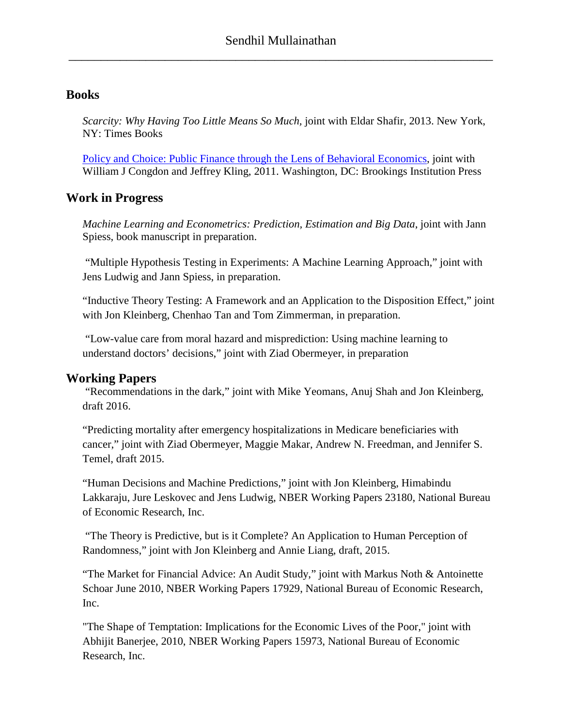# **Books**

*Scarcity: Why Having Too Little Means So Much,* joint with Eldar Shafir, 2013. New York, NY: Times Books

Policy and Choice: Public Finance through [the Lens of Behavioral Economics,](http://scholar.harvard.edu/mullainathan/publications/policy-and-choice-public-finance-through-lens-behavioral-economics) joint with William J Congdon and Jeffrey Kling, 2011. Washington, DC: Brookings Institution Press

# **Work in Progress**

*Machine Learning and Econometrics: Prediction, Estimation and Big Data*, joint with Jann Spiess, book manuscript in preparation.

"Multiple Hypothesis Testing in Experiments: A Machine Learning Approach," joint with Jens Ludwig and Jann Spiess, in preparation.

"Inductive Theory Testing: A Framework and an Application to the Disposition Effect," joint with Jon Kleinberg, Chenhao Tan and Tom Zimmerman, in preparation.

"Low-value care from moral hazard and misprediction: Using machine learning to understand doctors' decisions," joint with Ziad Obermeyer, in preparation

# **Working Papers**

"Recommendations in the dark," joint with Mike Yeomans, Anuj Shah and Jon Kleinberg, draft 2016.

"Predicting mortality after emergency hospitalizations in Medicare beneficiaries with cancer," joint with Ziad Obermeyer, Maggie Makar, Andrew N. Freedman, and Jennifer S. Temel, draft 2015.

"Human Decisions and Machine Predictions," joint with Jon Kleinberg, Himabindu Lakkaraju, Jure Leskovec and Jens Ludwig, NBER Working Papers 23180, National Bureau of Economic Research, Inc.

"The Theory is Predictive, but is it Complete? An Application to Human Perception of Randomness," joint with Jon Kleinberg and Annie Liang, draft, 2015.

"The Market for Financial Advice: An Audit Study," joint with Markus Noth & Antoinette Schoar June 2010, NBER Working Papers 17929, National Bureau of Economic Research, Inc.

["The Shape of Temptation: Implications for the Economic Lives of the Poor,](http://ideas.repec.org/p/nbr/nberwo/15973.html)" joint with Abhijit Banerjee, 2010, [NBER Working Papers](http://ideas.repec.org/s/nbr/nberwo.html) 15973, National Bureau of Economic Research, Inc.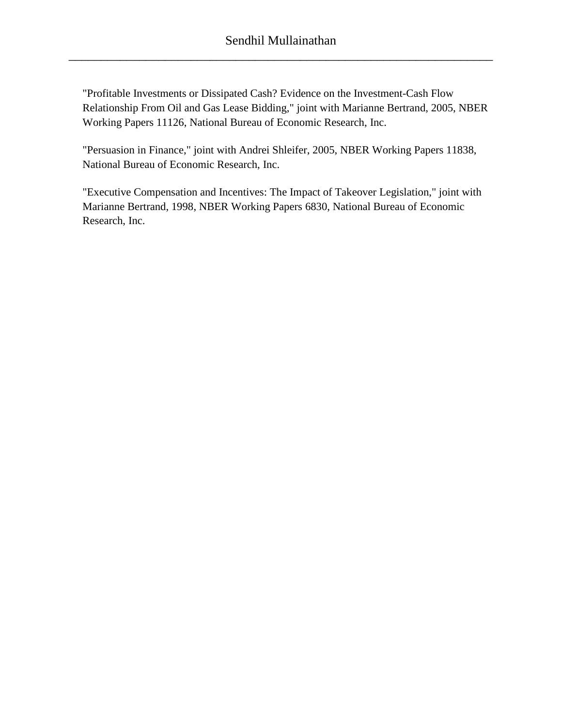["Profitable Investments or Dissipated Cash? Evidence on the Investment-Cash Flow](http://ideas.repec.org/p/nbr/nberwo/11126.html)  [Relationship From Oil and Gas Lease Bidding,](http://ideas.repec.org/p/nbr/nberwo/11126.html)" joint with Marianne Bertrand, 2005, [NBER](http://ideas.repec.org/s/nbr/nberwo.html)  [Working Papers](http://ideas.repec.org/s/nbr/nberwo.html) 11126, National Bureau of Economic Research, Inc.

["Persuasion in Finance,](http://ideas.repec.org/p/nbr/nberwo/11838.html)" joint with Andrei Shleifer, 2005, [NBER Working Papers](http://ideas.repec.org/s/nbr/nberwo.html) 11838, National Bureau of Economic Research, Inc.

["Executive Compensation and Incentives: The Impact of Takeover Legislation,](http://ideas.repec.org/p/nbr/nberwo/6830.html)" joint with Marianne Bertrand, 1998, [NBER Working Papers](http://ideas.repec.org/s/nbr/nberwo.html) 6830, National Bureau of Economic Research, Inc.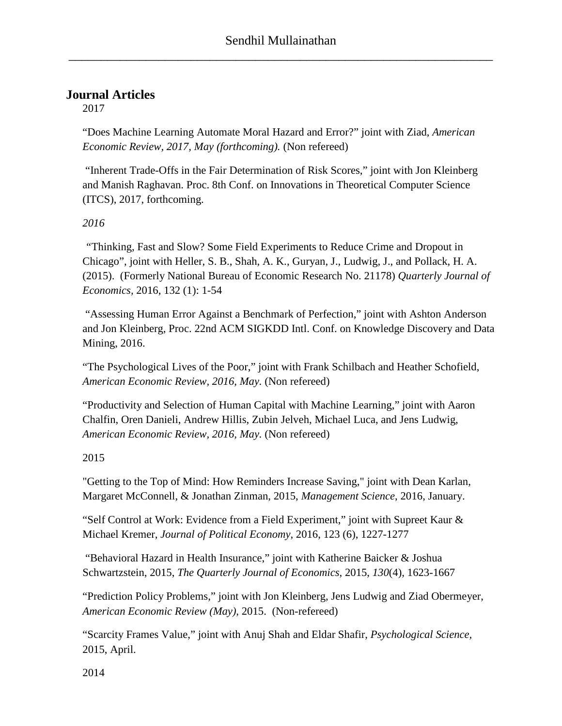# **Journal Articles**

2017

"Does Machine Learning Automate Moral Hazard and Error?" joint with Ziad, *American Economic Review, 2017, May (forthcoming).* (Non refereed)

"Inherent Trade-Offs in the Fair Determination of Risk Scores," joint with Jon Kleinberg and Manish Raghavan. Proc. 8th Conf. on Innovations in Theoretical Computer Science (ITCS), 2017, forthcoming.

## *2016*

*"*Thinking, Fast and Slow? Some Field Experiments to Reduce Crime and Dropout in Chicago", joint with Heller, S. B., Shah, A. K., Guryan, J., Ludwig, J., and Pollack, H. A. (2015). (Formerly National Bureau of Economic Research No. 21178) *Quarterly Journal of Economics,* 2016, 132 (1): 1-54

"Assessing Human Error Against a Benchmark of Perfection," joint with Ashton Anderson and Jon Kleinberg, Proc. 22nd ACM SIGKDD Intl. Conf. on Knowledge Discovery and Data Mining, 2016.

"The Psychological Lives of the Poor," joint with Frank Schilbach and Heather Schofield, *American Economic Review, 2016, May.* (Non refereed)

"Productivity and Selection of Human Capital with Machine Learning," joint with Aaron Chalfin, Oren Danieli, Andrew Hillis, Zubin Jelveh, Michael Luca, and Jens Ludwig, *American Economic Review, 2016, May.* (Non refereed)

## 2015

["Getting to the Top of Mind: How Reminders Increase Saving,](http://ideas.repec.org/p/nbr/nberwo/16205.html)" joint with Dean Karlan, Margaret McConnell, & Jonathan Zinman, 2015, *Management Science*, 2016, January.

"Self Control at Work: Evidence from a Field Experiment," joint with Supreet Kaur & Michael Kremer, *Journal of Political Economy*, 2016, 123 (6), 1227-1277

"Behavioral Hazard in Health Insurance," joint with Katherine Baicker & Joshua Schwartzstein, 2015, *The Quarterly Journal of Economics*, 2015, *130*(4), 1623-1667

"Prediction Policy Problems," joint with Jon Kleinberg, Jens Ludwig and Ziad Obermeyer, *American Economic Review (May)*, 2015. (Non-refereed)

"Scarcity Frames Value," joint with Anuj Shah and Eldar Shafir, *Psychological Science,*  2015, April.

2014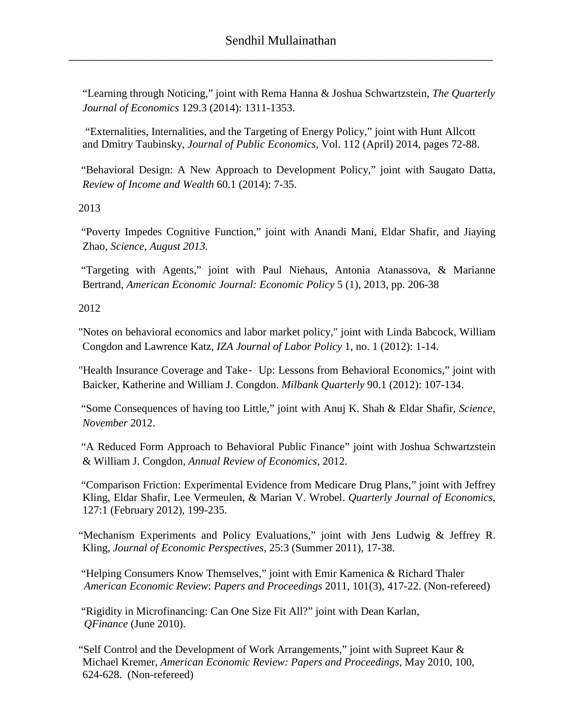"Learning through Noticing," joint with Rema Hanna & Joshua Schwartzstein*, The Quarterly Journal of Economics* 129.3 (2014): 1311-1353.

"Externalities, Internalities, and the Targeting of Energy Policy," joint with Hunt Allcott and Dmitry Taubinsky, *Journal of Public Economics*, Vol. 112 (April) 2014, pages 72-88.

"Behavioral Design: A New Approach to Development Policy," joint with Saugato Datta, *Review of Income and Wealth* 60.1 (2014): 7-35.

2013

"Poverty Impedes Cognitive Function," joint with Anandi Mani, Eldar Shafir, and Jiaying Zhao, *Science, August 2013.* 

"Targeting with Agents," joint with Paul Niehaus, Antonia Atanassova, & Marianne Bertrand, *American Economic Journal: Economic Policy* 5 (1), 2013, pp. 206-38

2012

"Notes on behavioral economics and labor market policy," joint with Linda Babcock, William Congdon and Lawrence Katz, *IZA Journal of Labor Policy* 1, no. 1 (2012): 1-14.

"Health Insurance Coverage and Take - Up: Lessons from Behavioral Economics," joint with Baicker, Katherine and William J. Congdon. *Milbank Quarterly* 90.1 (2012): 107-134.

"Some Consequences of having too Little," joint with Anuj K. Shah & Eldar Shafir, *Science, November* 2012.

"A Reduced Form Approach to Behavioral Public Finance" joint with Joshua Schwartzstein & William J. Congdon, *Annual Review of Economics,* 2012.

"Comparison Friction: Experimental Evidence from Medicare Drug Plans," joint with Jeffrey Kling, Eldar Shafir, Lee Vermeulen, & Marian V. Wrobel. *Quarterly Journal of Economics*, 127:1 (February 2012), 199-235.

"Mechanism Experiments and Policy Evaluations," joint with Jens Ludwig & Jeffrey R. Kling, *Journal of Economic Perspectives,* 25:3 (Summer 2011), 17-38.

"Helping Consumers Know Themselves," joint with Emir Kamenica & Richard Thaler *American Economic Review*: *Papers and Proceedings* 2011, 101(3), 417-22. (Non-refereed)

"Rigidity in Microfinancing: Can One Size Fit All?" joint with Dean Karlan, *QFinance* (June 2010).

"Self Control and the Development of Work Arrangements," joint with Supreet Kaur & Michael Kremer, *American Economic Review: Papers and Proceedings,* May 2010, 100, 624-628. (Non-refereed)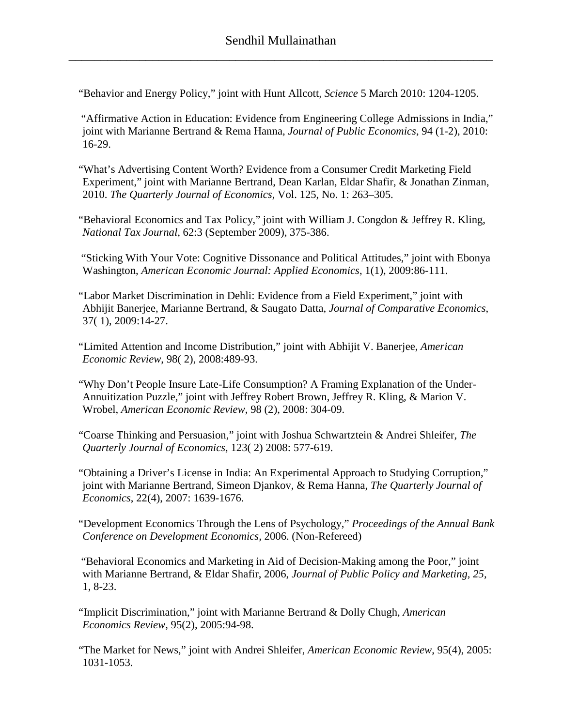"Behavior and Energy Policy," joint with Hunt Allcott, *Science* 5 March 2010: 1204-1205.

- "Affirmative Action in Education: Evidence from Engineering College Admissions in India," joint with Marianne Bertrand & Rema Hanna, *Journal of Public Economics*, 94 (1-2), 2010: 16-29.
- "What's Advertising Content Worth? Evidence from a Consumer Credit Marketing Field Experiment," joint with Marianne Bertrand, Dean Karlan, Eldar Shafir, & Jonathan Zinman, 2010. *The Quarterly Journal of Economics,* Vol. 125, No. 1: 263–305.
- "Behavioral Economics and Tax Policy," joint with William J. Congdon & Jeffrey R. Kling, *National Tax Journal*, 62:3 (September 2009), 375-386.
- "Sticking With Your Vote: Cognitive Dissonance and Political Attitudes," joint with Ebonya Washington, *American Economic Journal: Applied Economics*, 1(1), 2009:86-111.
- "Labor Market Discrimination in Dehli: Evidence from a Field Experiment," joint with Abhijit Banerjee, Marianne Bertrand, & Saugato Datta, *Journal of Comparative Economics*, 37( 1), 2009:14-27.
- "Limited Attention and Income Distribution," joint with Abhijit V. Banerjee, *American Economic Review*, 98( 2), 2008:489-93.
- "Why Don't People Insure Late-Life Consumption? A Framing Explanation of the Under-Annuitization Puzzle," joint with Jeffrey Robert Brown, Jeffrey R. Kling, & Marion V. Wrobel, *American Economic Review*, 98 (2), 2008: 304-09.
- "Coarse Thinking and Persuasion," joint with Joshua Schwartztein & Andrei Shleifer, *The Quarterly Journal of Economics*, 123( 2) 2008: 577-619.
- "Obtaining a Driver's License in India: An Experimental Approach to Studying Corruption," joint with Marianne Bertrand, Simeon Djankov, & Rema Hanna, *The Quarterly Journal of Economics*, 22(4), 2007: 1639-1676.
- "Development Economics Through the Lens of Psychology," *Proceedings of the Annual Bank Conference on Development Economics,* 2006. (Non-Refereed)
- "Behavioral Economics and Marketing in Aid of Decision-Making among the Poor," joint with Marianne Bertrand, & Eldar Shafir, 2006, *Journal of Public Policy and Marketing, 25,*  1, 8-23.
- "Implicit Discrimination," joint with Marianne Bertrand & Dolly Chugh, *American Economics Review*, 95(2), 2005:94-98.
- "The Market for News," joint with Andrei Shleifer, *American Economic Review*, 95(4), 2005: 1031-1053.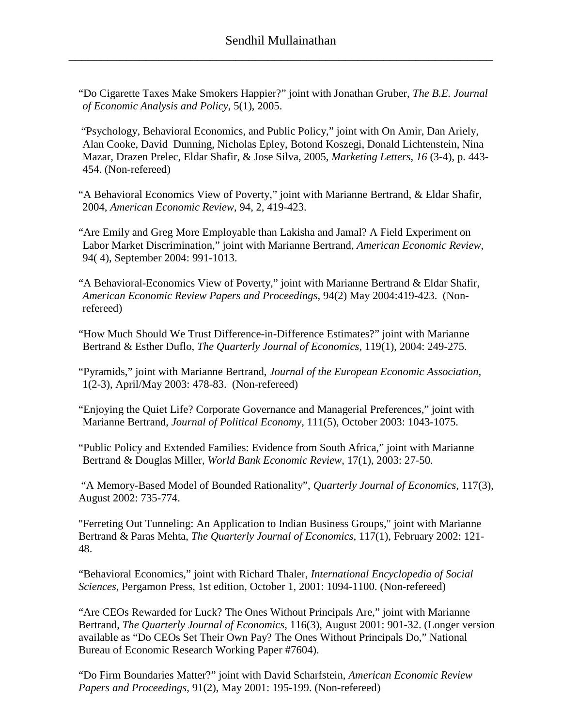- "Do Cigarette Taxes Make Smokers Happier?" joint with Jonathan Gruber, *The B.E. Journal of Economic Analysis and Policy*, 5(1), 2005.
- "Psychology, Behavioral Economics, and Public Policy," joint with On Amir, Dan Ariely, Alan Cooke, David Dunning, Nicholas Epley, Botond Koszegi, Donald Lichtenstein, Nina Mazar, Drazen Prelec, Eldar Shafir, & Jose Silva, 2005, *Marketing Letters, 16* (3-4), p. 443- 454. (Non-refereed)
- "A Behavioral Economics View of Poverty," joint with Marianne Bertrand, & Eldar Shafir, 2004, *American Economic Review*, 94, 2, 419-423.
- "Are Emily and Greg More Employable than Lakisha and Jamal? A Field Experiment on Labor Market Discrimination," joint with Marianne Bertrand, *American Economic Review*, 94( 4), September 2004: 991-1013.
- "A Behavioral-Economics View of Poverty," joint with Marianne Bertrand & Eldar Shafir, *American Economic Review Papers and Proceedings,* 94(2) May 2004:419-423. (Nonrefereed)
- "How Much Should We Trust Difference-in-Difference Estimates?" joint with Marianne Bertrand & Esther Duflo, *The Quarterly Journal of Economics,* 119(1), 2004: 249-275.
- "Pyramids," joint with Marianne Bertrand, *Journal of the European Economic Association,*  1(2-3), April/May 2003: 478-83. (Non-refereed)
- "Enjoying the Quiet Life? Corporate Governance and Managerial Preferences," joint with Marianne Bertrand, *Journal of Political Economy*, 111(5), October 2003: 1043-1075.
- "Public Policy and Extended Families: Evidence from South Africa," joint with Marianne Bertrand & Douglas Miller, *World Bank Economic Review*, 17(1), 2003: 27-50.
- "A Memory-Based Model of Bounded Rationality", *Quarterly Journal of Economics*, 117(3), August 2002: 735-774.
- "Ferreting Out Tunneling: An Application to Indian Business Groups," joint with Marianne Bertrand & Paras Mehta, *The Quarterly Journal of Economics*, 117(1), February 2002: 121- 48.
- "Behavioral Economics," joint with Richard Thaler, *International Encyclopedia of Social Sciences*, Pergamon Press, 1st edition, October 1, 2001: 1094-1100. (Non-refereed)
- "Are CEOs Rewarded for Luck? The Ones Without Principals Are," joint with Marianne Bertrand, *The Quarterly Journal of Economics*, 116(3), August 2001: 901-32. (Longer version available as "Do CEOs Set Their Own Pay? The Ones Without Principals Do," National Bureau of Economic Research Working Paper #7604).
- "Do Firm Boundaries Matter?" joint with David Scharfstein, *American Economic Review Papers and Proceedings*, 91(2), May 2001: 195-199. (Non-refereed)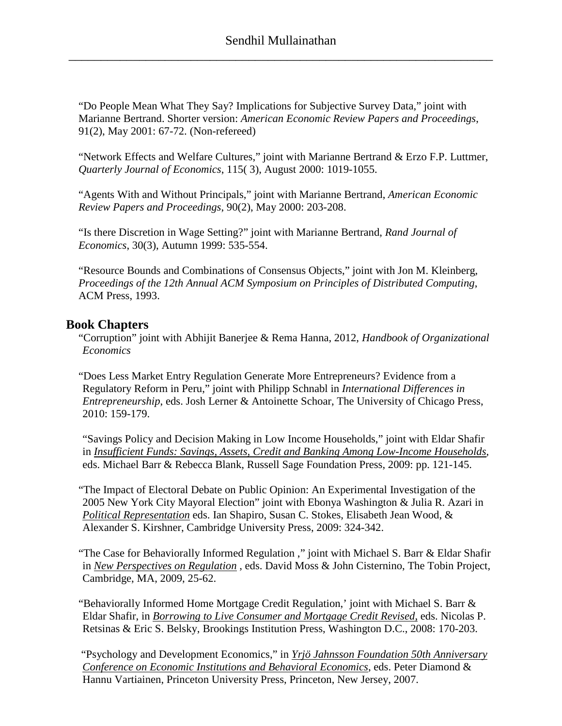"Do People Mean What They Say? Implications for Subjective Survey Data," joint with Marianne Bertrand. Shorter version: *American Economic Review Papers and Proceedings*, 91(2), May 2001: 67-72. (Non-refereed)

"Network Effects and Welfare Cultures," joint with Marianne Bertrand & Erzo F.P. Luttmer, *Quarterly Journal of Economics*, 115( 3), August 2000: 1019-1055.

"Agents With and Without Principals," joint with Marianne Bertrand, *American Economic Review Papers and Proceedings*, 90(2), May 2000: 203-208.

"Is there Discretion in Wage Setting?" joint with Marianne Bertrand, *Rand Journal of Economics*, 30(3), Autumn 1999: 535-554.

"Resource Bounds and Combinations of Consensus Objects," joint with Jon M. Kleinberg, *Proceedings of the 12th Annual ACM Symposium on Principles of Distributed Computing*, ACM Press, 1993.

## **Book Chapters**

"Corruption" joint with Abhijit Banerjee & Rema Hanna, 2012, *Handbook of Organizational Economics*

"Does Less Market Entry Regulation Generate More Entrepreneurs? Evidence from a Regulatory Reform in Peru," joint with Philipp Schnabl in *International Differences in Entrepreneurship*, eds. Josh Lerner & Antoinette Schoar, The University of Chicago Press, 2010: 159-179.

"Savings Policy and Decision Making in Low Income Households," joint with Eldar Shafir in *Insufficient Funds: Savings, Assets, Credit and Banking Among Low-Income Households*, eds. Michael Barr & Rebecca Blank, Russell Sage Foundation Press, 2009: pp. 121-145.

"The Impact of Electoral Debate on Public Opinion: An Experimental Investigation of the 2005 New York City Mayoral Election" joint with Ebonya Washington & Julia R. Azari in *Political Representation* eds. Ian Shapiro, Susan C. Stokes, Elisabeth Jean Wood, & Alexander S. Kirshner, Cambridge University Press, 2009: 324-342.

"The Case for Behaviorally Informed Regulation ," joint with Michael S. Barr & Eldar Shafir in *New Perspectives on Regulation* , eds. David Moss & John Cisternino, The Tobin Project, Cambridge, MA, 2009, 25-62.

"Behaviorally Informed Home Mortgage Credit Regulation,' joint with Michael S. Barr & Eldar Shafir, in *Borrowing to Live Consumer and Mortgage Credit Revised*, eds. Nicolas P. Retsinas & Eric S. Belsky, Brookings Institution Press, Washington D.C., 2008: 170-203.

"Psychology and Development Economics," in *Yrjö Jahnsson Foundation 50th Anniversary Conference on Economic Institutions and Behavioral Economics*, eds. Peter Diamond & Hannu Vartiainen, Princeton University Press, Princeton, New Jersey, 2007.